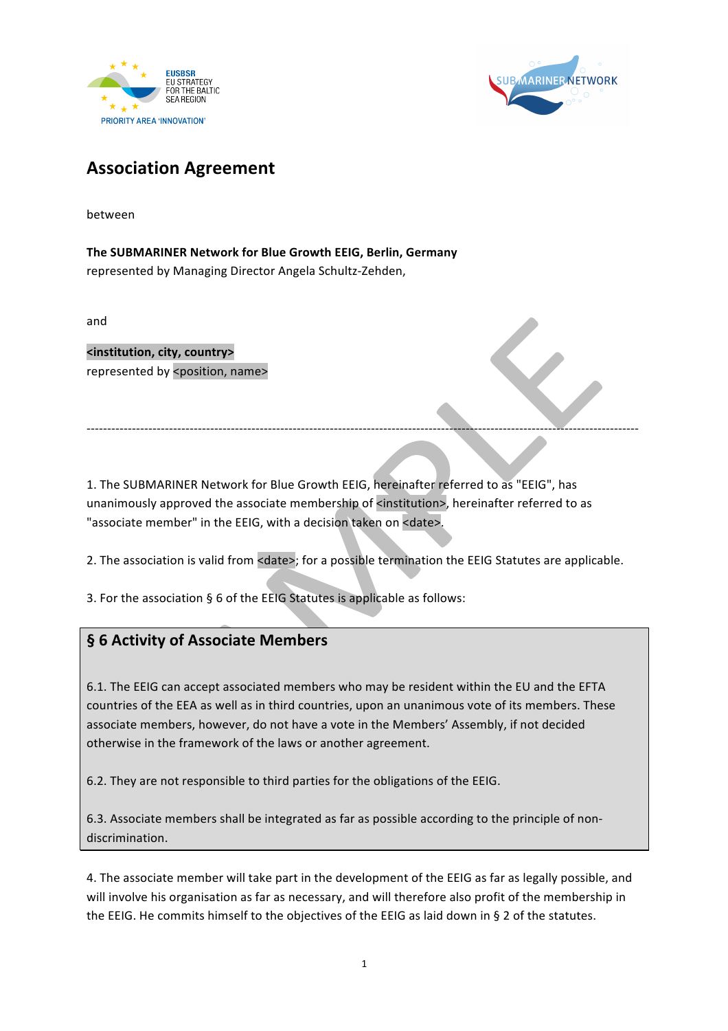



## **Association Agreement**

between

The SUBMARINER Network for Blue Growth EEIG, Berlin, Germany represented by Managing Director Angela Schultz-Zehden,

and

**<institution, city, country>** represented by <position, name>

1. The SUBMARINER Network for Blue Growth EEIG, hereinafter referred to as "EEIG", has unanimously approved the associate membership of <institution>, hereinafter referred to as "associate member" in the EEIG, with a decision taken on <date>.

2. The association is valid from <date>; for a possible termination the EEIG Statutes are applicable.

--------------------------------------------------------------------------------------------------------------------------------------

3. For the association  $\S$  6 of the EEIG Statutes is applicable as follows:

## **§ 6 Activity of Associate Members**

6.1. The EEIG can accept associated members who may be resident within the EU and the EFTA countries of the EEA as well as in third countries, upon an unanimous vote of its members. These associate members, however, do not have a vote in the Members' Assembly, if not decided otherwise in the framework of the laws or another agreement.

6.2. They are not responsible to third parties for the obligations of the EEIG.

6.3. Associate members shall be integrated as far as possible according to the principle of nondiscrimination.

4. The associate member will take part in the development of the EEIG as far as legally possible, and will involve his organisation as far as necessary, and will therefore also profit of the membership in the EEIG. He commits himself to the objectives of the EEIG as laid down in § 2 of the statutes.